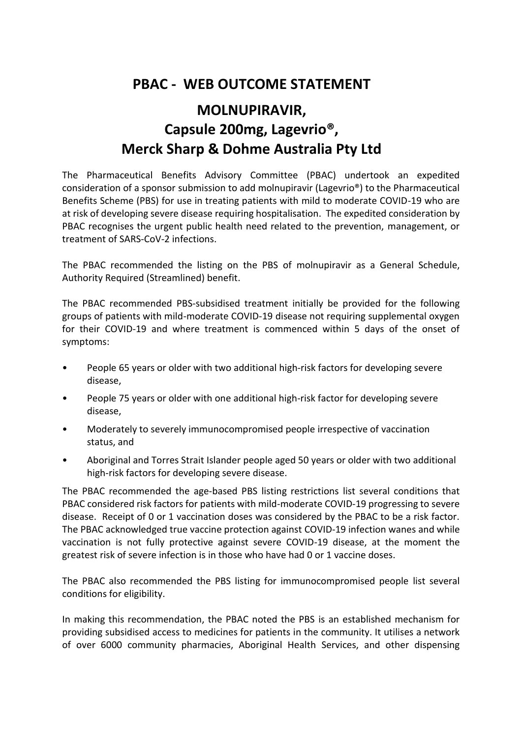## **PBAC - WEB OUTCOME STATEMENT**

## **MOLNUPIRAVIR, Capsule 200mg, Lagevrio®, Merck Sharp & Dohme Australia Pty Ltd**

The Pharmaceutical Benefits Advisory Committee (PBAC) undertook an expedited consideration of a sponsor submission to add molnupiravir (Lagevrio®) to the Pharmaceutical Benefits Scheme (PBS) for use in treating patients with mild to moderate COVID-19 who are at risk of developing severe disease requiring hospitalisation. The expedited consideration by PBAC recognises the urgent public health need related to the prevention, management, or treatment of SARS-CoV-2 infections.

The PBAC recommended the listing on the PBS of molnupiravir as a General Schedule, Authority Required (Streamlined) benefit.

The PBAC recommended PBS-subsidised treatment initially be provided for the following groups of patients with mild-moderate COVID-19 disease not requiring supplemental oxygen for their COVID-19 and where treatment is commenced within 5 days of the onset of symptoms:

- People 65 years or older with two additional high-risk factors for developing severe disease,
- People 75 years or older with one additional high-risk factor for developing severe disease,
- Moderately to severely immunocompromised people irrespective of vaccination status, and
- Aboriginal and Torres Strait Islander people aged 50 years or older with two additional high-risk factors for developing severe disease.

The PBAC recommended the age-based PBS listing restrictions list several conditions that PBAC considered risk factors for patients with mild-moderate COVID-19 progressing to severe disease. Receipt of 0 or 1 vaccination doses was considered by the PBAC to be a risk factor. The PBAC acknowledged true vaccine protection against COVID-19 infection wanes and while vaccination is not fully protective against severe COVID-19 disease, at the moment the greatest risk of severe infection is in those who have had 0 or 1 vaccine doses.

The PBAC also recommended the PBS listing for immunocompromised people list several conditions for eligibility.

In making this recommendation, the PBAC noted the PBS is an established mechanism for providing subsidised access to medicines for patients in the community. It utilises a network of over 6000 community pharmacies, Aboriginal Health Services, and other dispensing